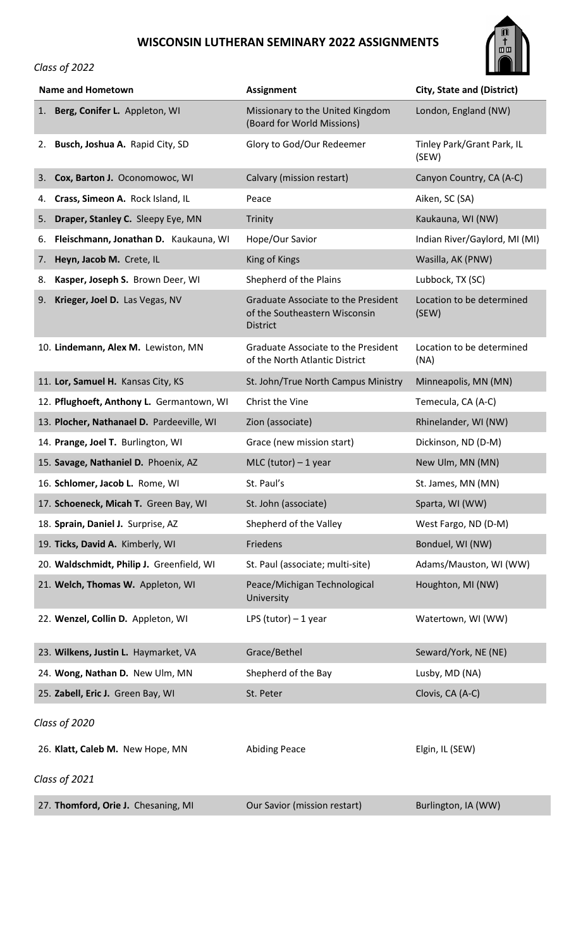## **WISCONSIN LUTHERAN SEMINARY 2022 ASSIGNMENTS**



## *Class of 2022*

| <b>Name and Hometown</b>                    | <b>Assignment</b>                                                                       | <b>City, State and (District)</b>   |
|---------------------------------------------|-----------------------------------------------------------------------------------------|-------------------------------------|
| Berg, Conifer L. Appleton, WI<br>1.         | Missionary to the United Kingdom<br>(Board for World Missions)                          | London, England (NW)                |
| Busch, Joshua A. Rapid City, SD<br>2.       | Glory to God/Our Redeemer                                                               | Tinley Park/Grant Park, IL<br>(SEW) |
| Cox, Barton J. Oconomowoc, WI<br>3.         | Calvary (mission restart)                                                               | Canyon Country, CA (A-C)            |
| Crass, Simeon A. Rock Island, IL<br>4.      | Peace                                                                                   | Aiken, SC (SA)                      |
| 5.<br>Draper, Stanley C. Sleepy Eye, MN     | Trinity                                                                                 | Kaukauna, WI (NW)                   |
| Fleischmann, Jonathan D. Kaukauna, WI<br>6. | Hope/Our Savior                                                                         | Indian River/Gaylord, MI (MI)       |
| Heyn, Jacob M. Crete, IL<br>7.              | King of Kings                                                                           | Wasilla, AK (PNW)                   |
| Kasper, Joseph S. Brown Deer, WI<br>8.      | Shepherd of the Plains                                                                  | Lubbock, TX (SC)                    |
| Krieger, Joel D. Las Vegas, NV<br>9.        | Graduate Associate to the President<br>of the Southeastern Wisconsin<br><b>District</b> | Location to be determined<br>(SEW)  |
| 10. Lindemann, Alex M. Lewiston, MN         | Graduate Associate to the President<br>of the North Atlantic District                   | Location to be determined<br>(NA)   |
| 11. Lor, Samuel H. Kansas City, KS          | St. John/True North Campus Ministry                                                     | Minneapolis, MN (MN)                |
| 12. Pflughoeft, Anthony L. Germantown, WI   | Christ the Vine                                                                         | Temecula, CA (A-C)                  |
| 13. Plocher, Nathanael D. Pardeeville, WI   | Zion (associate)                                                                        | Rhinelander, WI (NW)                |
| 14. Prange, Joel T. Burlington, WI          | Grace (new mission start)                                                               | Dickinson, ND (D-M)                 |
| 15. Savage, Nathaniel D. Phoenix, AZ        | $MLC$ (tutor) - 1 year                                                                  | New Ulm, MN (MN)                    |
| 16. Schlomer, Jacob L. Rome, WI             | St. Paul's                                                                              | St. James, MN (MN)                  |
| 17. Schoeneck, Micah T. Green Bay, WI       | St. John (associate)                                                                    | Sparta, WI (WW)                     |
| 18. Sprain, Daniel J. Surprise, AZ          | Shepherd of the Valley                                                                  | West Fargo, ND (D-M)                |
| 19. Ticks, David A. Kimberly, WI            | Friedens                                                                                | Bonduel, WI (NW)                    |
| 20. Waldschmidt, Philip J. Greenfield, WI   | St. Paul (associate; multi-site)                                                        | Adams/Mauston, WI (WW)              |
| 21. Welch, Thomas W. Appleton, WI           | Peace/Michigan Technological<br>University                                              | Houghton, MI (NW)                   |
| 22. Wenzel, Collin D. Appleton, WI          | LPS (tutor) $-1$ year                                                                   | Watertown, WI (WW)                  |
| 23. Wilkens, Justin L. Haymarket, VA        | Grace/Bethel                                                                            | Seward/York, NE (NE)                |
| 24. Wong, Nathan D. New Ulm, MN             | Shepherd of the Bay                                                                     | Lusby, MD (NA)                      |
| 25. Zabell, Eric J. Green Bay, WI           | St. Peter                                                                               | Clovis, CA (A-C)                    |
| Class of 2020                               |                                                                                         |                                     |
| 26. Klatt, Caleb M. New Hope, MN            | <b>Abiding Peace</b>                                                                    | Elgin, IL (SEW)                     |
| Class of 2021                               |                                                                                         |                                     |
| 27. Thomford, Orie J. Chesaning, MI         | Our Savior (mission restart)                                                            | Burlington, IA (WW)                 |